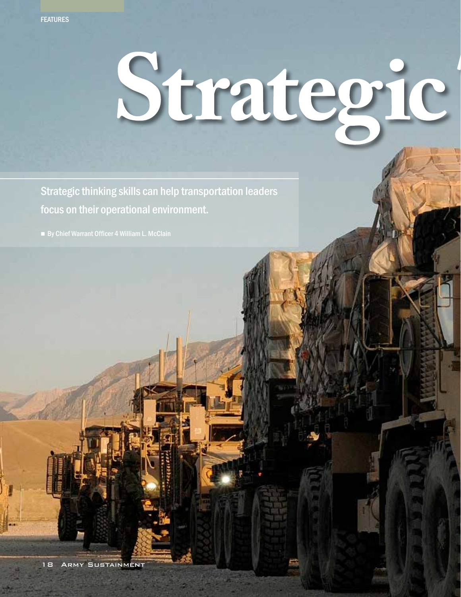## Strategic

Strategic thinking skills can help transportation leaders focus on their operational environment.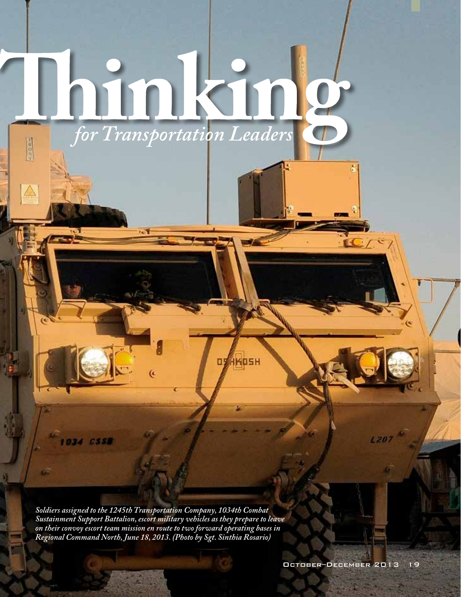## *for Transportation Leaders* **HOSP**

*Soldiers assigned to the 1245th Transportation Company, 1034th Combat Sustainment Support Battalion, escort military vehicles as they prepare to leave on their convoy escort team mission en route to two forward operating bases in Regional Command North, June 18, 2013. (Photo by Sgt. Sinthia Rosario)*

**034 ESSB** 

**HKOSH** 

05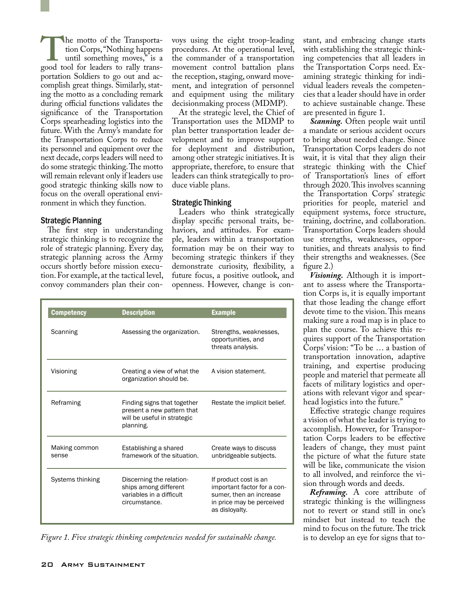The motto of the Transportation Corps, "Nothing happens until something moves," is a good tool for leaders to rally transtion Corps, "Nothing happens until something moves," is a portation Soldiers to go out and accomplish great things. Similarly, stating the motto as a concluding remark during official functions validates the significance of the Transportation Corps spearheading logistics into the future. With the Army's mandate for the Transportation Corps to reduce its personnel and equipment over the next decade, corps leaders will need to do some strategic thinking. The motto will remain relevant only if leaders use good strategic thinking skills now to focus on the overall operational environment in which they function.

## Strategic Planning

The first step in understanding strategic thinking is to recognize the role of strategic planning. Every day, strategic planning across the Army occurs shortly before mission execution. For example, at the tactical level, convoy commanders plan their convoys using the eight troop-leading procedures. At the operational level, the commander of a transportation movement control battalion plans the reception, staging, onward movement, and integration of personnel and equipment using the military decisionmaking process (MDMP).

At the strategic level, the Chief of Transportation uses the MDMP to plan better transportation leader development and to improve support for deployment and distribution, among other strategic initiatives. It is appropriate, therefore, to ensure that leaders can think strategically to produce viable plans.

## Strategic Thinking

Leaders who think strategically display specific personal traits, behaviors, and attitudes. For example, leaders within a transportation formation may be on their way to becoming strategic thinkers if they demonstrate curiosity, flexibility, a future focus, a positive outlook, and openness. However, change is con-

| <b>Competency</b>      | <b>Description</b>                                                                                    | <b>Example</b>                                                                                                                 |  |
|------------------------|-------------------------------------------------------------------------------------------------------|--------------------------------------------------------------------------------------------------------------------------------|--|
| Scanning               | Assessing the organization.                                                                           | Strengths, weaknesses,<br>opportunities, and<br>threats analysis.                                                              |  |
| Visioning              | Creating a view of what the<br>organization should be.                                                | A vision statement.                                                                                                            |  |
| Reframing              | Finding signs that together<br>present a new pattern that<br>will be useful in strategic<br>planning. | Restate the implicit belief.                                                                                                   |  |
| Making common<br>sense | Establishing a shared<br>framework of the situation.                                                  | Create ways to discuss<br>unbridgeable subjects.                                                                               |  |
| Systems thinking       | Discerning the relation-<br>ships among different<br>variables in a difficult<br>circumstance.        | If product cost is an<br>important factor for a con-<br>sumer, then an increase<br>in price may be perceived<br>as disloyalty. |  |

*Figure 1. Five strategic thinking competencies needed for sustainable change.*

stant, and embracing change starts with establishing the strategic thinking competencies that all leaders in the Transportation Corps need. Examining strategic thinking for individual leaders reveals the competencies that a leader should have in order to achieve sustainable change. These are presented in figure 1.

*Scanning.* Often people wait until a mandate or serious accident occurs to bring about needed change. Since Transportation Corps leaders do not wait, it is vital that they align their strategic thinking with the Chief of Transportation's lines of effort through 2020. This involves scanning the Transportation Corps' strategic priorities for people, materiel and equipment systems, force structure, training, doctrine, and collaboration. Transportation Corps leaders should use strengths, weaknesses, opportunities, and threats analysis to find their strengths and weaknesses. (See figure 2.)

*Visioning.* Although it is important to assess where the Transportation Corps is, it is equally important that those leading the change effort devote time to the vision. This means making sure a road map is in place to plan the course. To achieve this requires support of the Transportation Corps' vision: "To be … a bastion of transportation innovation, adaptive training, and expertise producing people and materiel that permeate all facets of military logistics and operations with relevant vigor and spearhead logistics into the future."

Effective strategic change requires a vision of what the leader is trying to accomplish. However, for Transportation Corps leaders to be effective leaders of change, they must paint the picture of what the future state will be like, communicate the vision to all involved, and reinforce the vision through words and deeds.

*Reframing.* A core attribute of strategic thinking is the willingness not to revert or stand still in one's mindset but instead to teach the mind to focus on the future. The trick is to develop an eye for signs that to